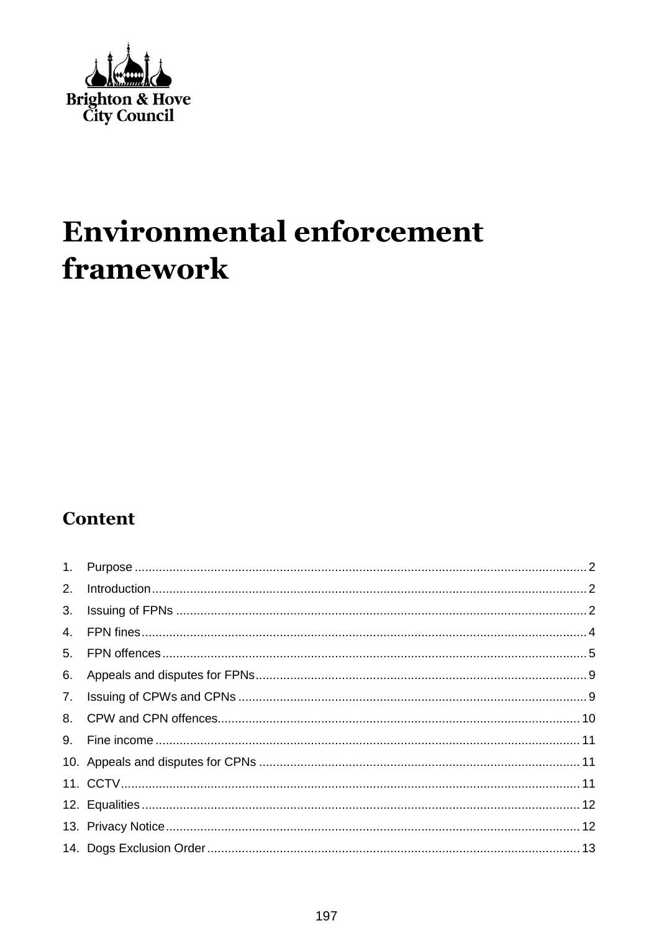

# **Environmental enforcement** framework

### **Content**

| 2. |  |
|----|--|
| 3. |  |
| 4. |  |
|    |  |
| 6. |  |
| 7. |  |
|    |  |
| 9. |  |
|    |  |
|    |  |
|    |  |
|    |  |
|    |  |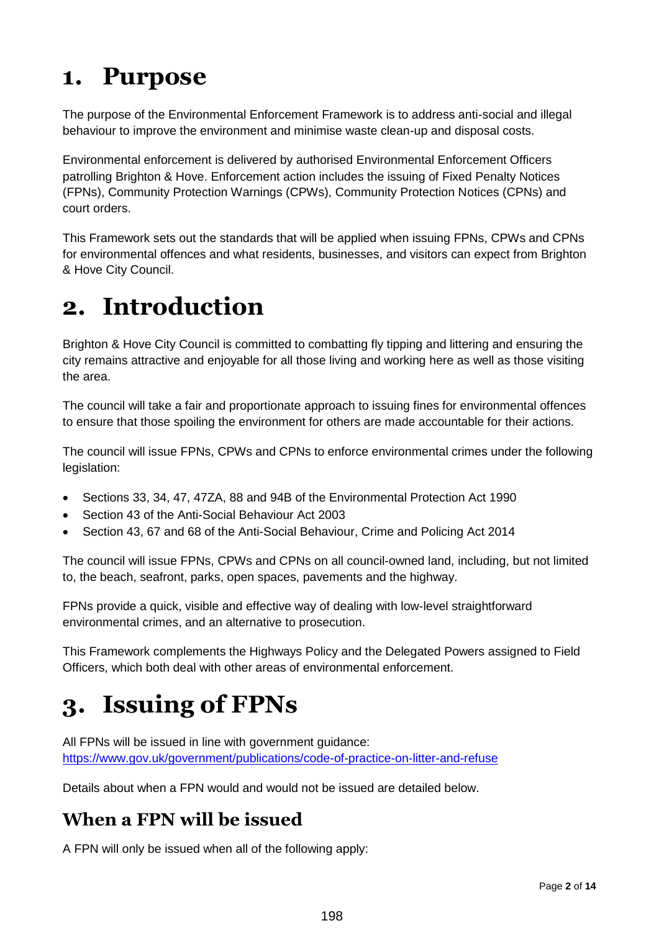### <span id="page-1-0"></span>**1. Purpose**

The purpose of the Environmental Enforcement Framework is to address anti-social and illegal behaviour to improve the environment and minimise waste clean-up and disposal costs.

Environmental enforcement is delivered by authorised Environmental Enforcement Officers patrolling Brighton & Hove. Enforcement action includes the issuing of Fixed Penalty Notices (FPNs), Community Protection Warnings (CPWs), Community Protection Notices (CPNs) and court orders.

This Framework sets out the standards that will be applied when issuing FPNs, CPWs and CPNs for environmental offences and what residents, businesses, and visitors can expect from Brighton & Hove City Council.

### <span id="page-1-1"></span>**2. Introduction**

Brighton & Hove City Council is committed to combatting fly tipping and littering and ensuring the city remains attractive and enjoyable for all those living and working here as well as those visiting the area.

The council will take a fair and proportionate approach to issuing fines for environmental offences to ensure that those spoiling the environment for others are made accountable for their actions.

The council will issue FPNs, CPWs and CPNs to enforce environmental crimes under the following legislation:

- Sections 33, 34, 47, 47ZA, 88 and 94B of the Environmental Protection Act 1990
- Section 43 of the Anti-Social Behaviour Act 2003
- Section 43, 67 and 68 of the Anti-Social Behaviour, Crime and Policing Act 2014

The council will issue FPNs, CPWs and CPNs on all council-owned land, including, but not limited to, the beach, seafront, parks, open spaces, pavements and the highway.

FPNs provide a quick, visible and effective way of dealing with low-level straightforward environmental crimes, and an alternative to prosecution.

This Framework complements the Highways Policy and the Delegated Powers assigned to Field Officers, which both deal with other areas of environmental enforcement.

## <span id="page-1-2"></span>**3. Issuing of FPNs**

All FPNs will be issued in line with government guidance: <https://www.gov.uk/government/publications/code-of-practice-on-litter-and-refuse>

Details about when a FPN would and would not be issued are detailed below.

#### **When a FPN will be issued**

A FPN will only be issued when all of the following apply: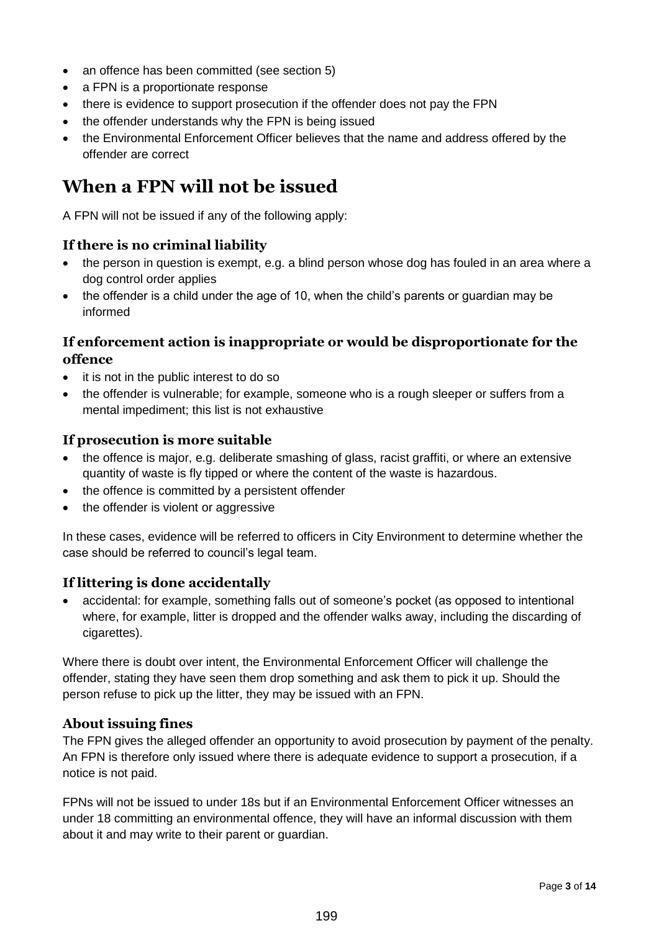- an offence has been committed (see section 5)
- a FPN is a proportionate response
- there is evidence to support prosecution if the offender does not pay the FPN
- the offender understands why the FPN is being issued
- the Environmental Enforcement Officer believes that the name and address offered by the offender are correct

#### **When a FPN will not be issued**

A FPN will not be issued if any of the following apply:

#### **If there is no criminal liability**

- the person in question is exempt, e.g. a blind person whose dog has fouled in an area where a dog control order applies
- the offender is a child under the age of 10, when the child's parents or guardian may be informed

#### **If enforcement action is inappropriate or would be disproportionate for the offence**

- it is not in the public interest to do so
- the offender is vulnerable; for example, someone who is a rough sleeper or suffers from a mental impediment; this list is not exhaustive

#### **If prosecution is more suitable**

- the offence is major, e.g. deliberate smashing of glass, racist graffiti, or where an extensive quantity of waste is fly tipped or where the content of the waste is hazardous.
- the offence is committed by a persistent offender
- the offender is violent or aggressive

In these cases, evidence will be referred to officers in City Environment to determine whether the case should be referred to council's legal team.

#### **If littering is done accidentally**

 accidental: for example, something falls out of someone's pocket (as opposed to intentional where, for example, litter is dropped and the offender walks away, including the discarding of cigarettes).

Where there is doubt over intent, the Environmental Enforcement Officer will challenge the offender, stating they have seen them drop something and ask them to pick it up. Should the person refuse to pick up the litter, they may be issued with an FPN.

#### **About issuing fines**

The FPN gives the alleged offender an opportunity to avoid prosecution by payment of the penalty. An FPN is therefore only issued where there is adequate evidence to support a prosecution, if a notice is not paid.

FPNs will not be issued to under 18s but if an Environmental Enforcement Officer witnesses an under 18 committing an environmental offence, they will have an informal discussion with them about it and may write to their parent or guardian.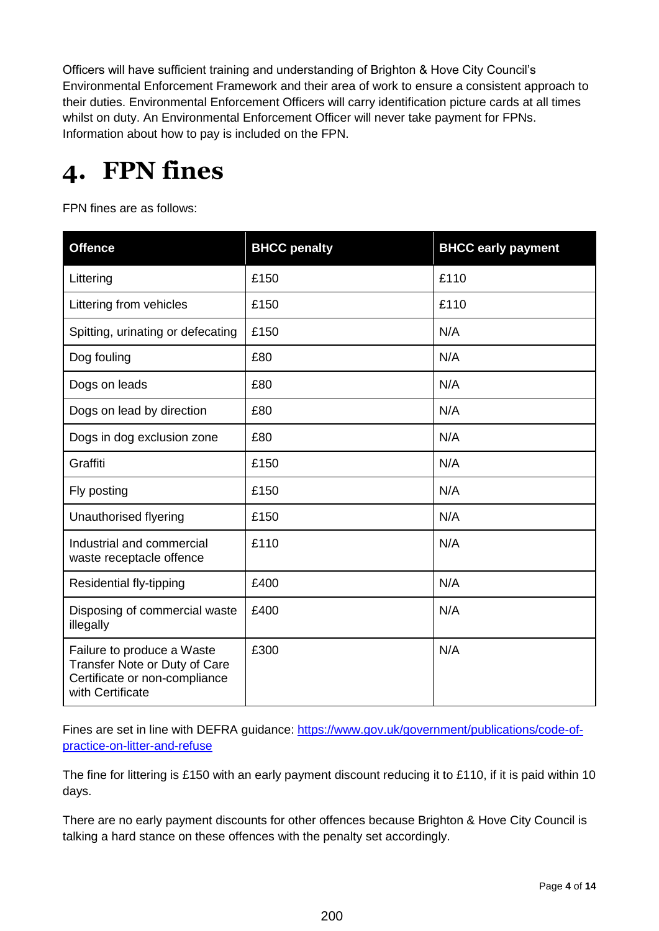Officers will have sufficient training and understanding of Brighton & Hove City Council's Environmental Enforcement Framework and their area of work to ensure a consistent approach to their duties. Environmental Enforcement Officers will carry identification picture cards at all times whilst on duty. An Environmental Enforcement Officer will never take payment for FPNs. Information about how to pay is included on the FPN.

## <span id="page-3-0"></span>**4. FPN fines**

FPN fines are as follows:

| <b>Offence</b>                                                                                                   | <b>BHCC penalty</b> | <b>BHCC early payment</b> |
|------------------------------------------------------------------------------------------------------------------|---------------------|---------------------------|
| Littering                                                                                                        | £150                | £110                      |
| Littering from vehicles                                                                                          | £150                | £110                      |
| Spitting, urinating or defecating                                                                                | £150                | N/A                       |
| Dog fouling                                                                                                      | £80                 | N/A                       |
| Dogs on leads                                                                                                    | £80                 | N/A                       |
| Dogs on lead by direction                                                                                        | £80                 | N/A                       |
| Dogs in dog exclusion zone                                                                                       | £80                 | N/A                       |
| Graffiti                                                                                                         | £150                | N/A                       |
| Fly posting                                                                                                      | £150                | N/A                       |
| Unauthorised flyering                                                                                            | £150                | N/A                       |
| Industrial and commercial<br>waste receptacle offence                                                            | £110                | N/A                       |
| Residential fly-tipping                                                                                          | £400                | N/A                       |
| Disposing of commercial waste<br>illegally                                                                       | £400                | N/A                       |
| Failure to produce a Waste<br>Transfer Note or Duty of Care<br>Certificate or non-compliance<br>with Certificate | £300                | N/A                       |

Fines are set in line with DEFRA guidance: [https://www.gov.uk/government/publications/code-of](https://www.gov.uk/government/publications/code-of-practice-on-litter-and-refuse)[practice-on-litter-and-refuse](https://www.gov.uk/government/publications/code-of-practice-on-litter-and-refuse)

The fine for littering is £150 with an early payment discount reducing it to £110, if it is paid within 10 days.

There are no early payment discounts for other offences because Brighton & Hove City Council is talking a hard stance on these offences with the penalty set accordingly.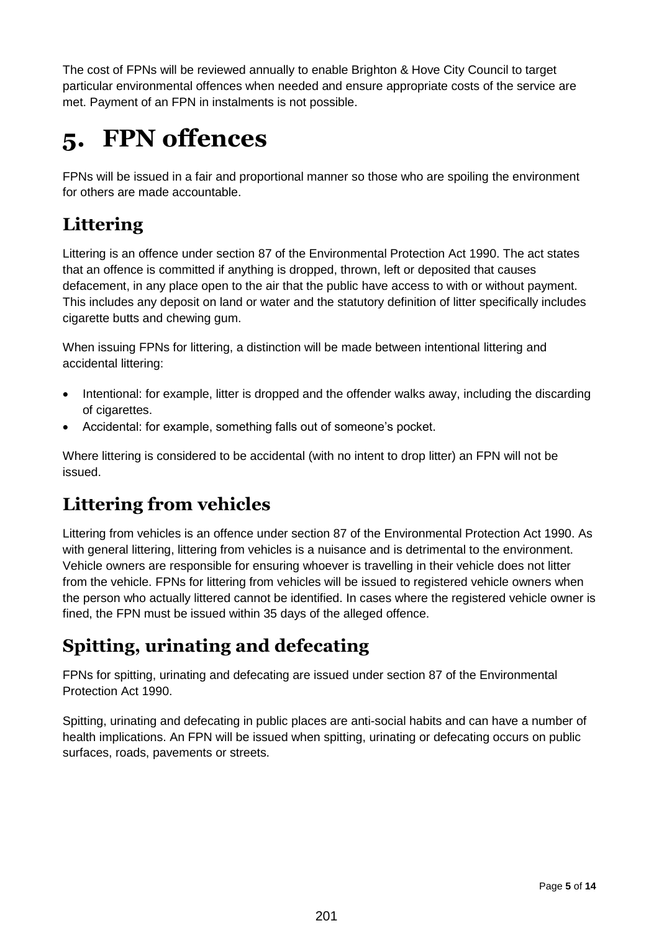The cost of FPNs will be reviewed annually to enable Brighton & Hove City Council to target particular environmental offences when needed and ensure appropriate costs of the service are met. Payment of an FPN in instalments is not possible.

## <span id="page-4-0"></span>**5. FPN offences**

FPNs will be issued in a fair and proportional manner so those who are spoiling the environment for others are made accountable.

### **Littering**

Littering is an offence under section 87 of the Environmental Protection Act 1990. The act states that an offence is committed if anything is dropped, thrown, left or deposited that causes defacement, in any place open to the air that the public have access to with or without payment. This includes any deposit on land or water and the statutory definition of litter specifically includes cigarette butts and chewing gum.

When issuing FPNs for littering, a distinction will be made between intentional littering and accidental littering:

- Intentional: for example, litter is dropped and the offender walks away, including the discarding of cigarettes.
- Accidental: for example, something falls out of someone's pocket.

Where littering is considered to be accidental (with no intent to drop litter) an FPN will not be issued.

### **Littering from vehicles**

Littering from vehicles is an offence under section 87 of the Environmental Protection Act 1990. As with general littering, littering from vehicles is a nuisance and is detrimental to the environment. Vehicle owners are responsible for ensuring whoever is travelling in their vehicle does not litter from the vehicle. FPNs for littering from vehicles will be issued to registered vehicle owners when the person who actually littered cannot be identified. In cases where the registered vehicle owner is fined, the FPN must be issued within 35 days of the alleged offence.

### **Spitting, urinating and defecating**

FPNs for spitting, urinating and defecating are issued under section 87 of the Environmental Protection Act 1990.

Spitting, urinating and defecating in public places are anti-social habits and can have a number of health implications. An FPN will be issued when spitting, urinating or defecating occurs on public surfaces, roads, pavements or streets.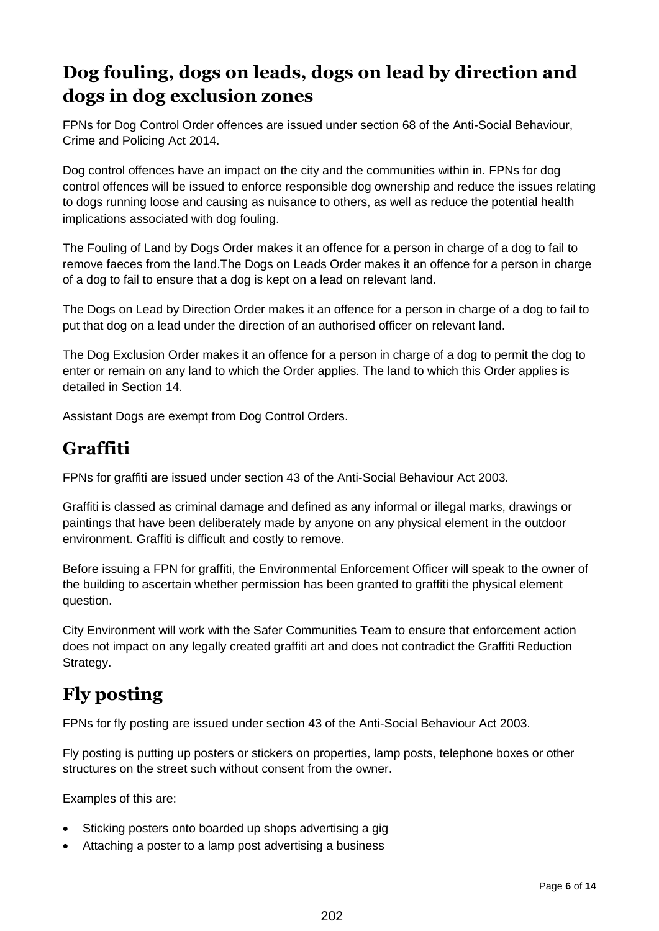### **Dog fouling, dogs on leads, dogs on lead by direction and dogs in dog exclusion zones**

FPNs for Dog Control Order offences are issued under section 68 of the Anti-Social Behaviour, Crime and Policing Act 2014.

Dog control offences have an impact on the city and the communities within in. FPNs for dog control offences will be issued to enforce responsible dog ownership and reduce the issues relating to dogs running loose and causing as nuisance to others, as well as reduce the potential health implications associated with dog fouling.

The Fouling of Land by Dogs Order makes it an offence for a person in charge of a dog to fail to remove faeces from the land.The Dogs on Leads Order makes it an offence for a person in charge of a dog to fail to ensure that a dog is kept on a lead on relevant land.

The Dogs on Lead by Direction Order makes it an offence for a person in charge of a dog to fail to put that dog on a lead under the direction of an authorised officer on relevant land.

The Dog Exclusion Order makes it an offence for a person in charge of a dog to permit the dog to enter or remain on any land to which the Order applies. The land to which this Order applies is detailed in Section 14.

Assistant Dogs are exempt from Dog Control Orders.

#### **Graffiti**

FPNs for graffiti are issued under section 43 of the Anti-Social Behaviour Act 2003.

Graffiti is classed as criminal damage and defined as any informal or illegal marks, drawings or paintings that have been deliberately made by anyone on any physical element in the outdoor environment. Graffiti is difficult and costly to remove.

Before issuing a FPN for graffiti, the Environmental Enforcement Officer will speak to the owner of the building to ascertain whether permission has been granted to graffiti the physical element question.

City Environment will work with the Safer Communities Team to ensure that enforcement action does not impact on any legally created graffiti art and does not contradict the Graffiti Reduction Strategy.

### **Fly posting**

FPNs for fly posting are issued under section 43 of the Anti-Social Behaviour Act 2003.

Fly posting is putting up posters or stickers on properties, lamp posts, telephone boxes or other structures on the street such without consent from the owner.

Examples of this are:

- Sticking posters onto boarded up shops advertising a gig
- Attaching a poster to a lamp post advertising a business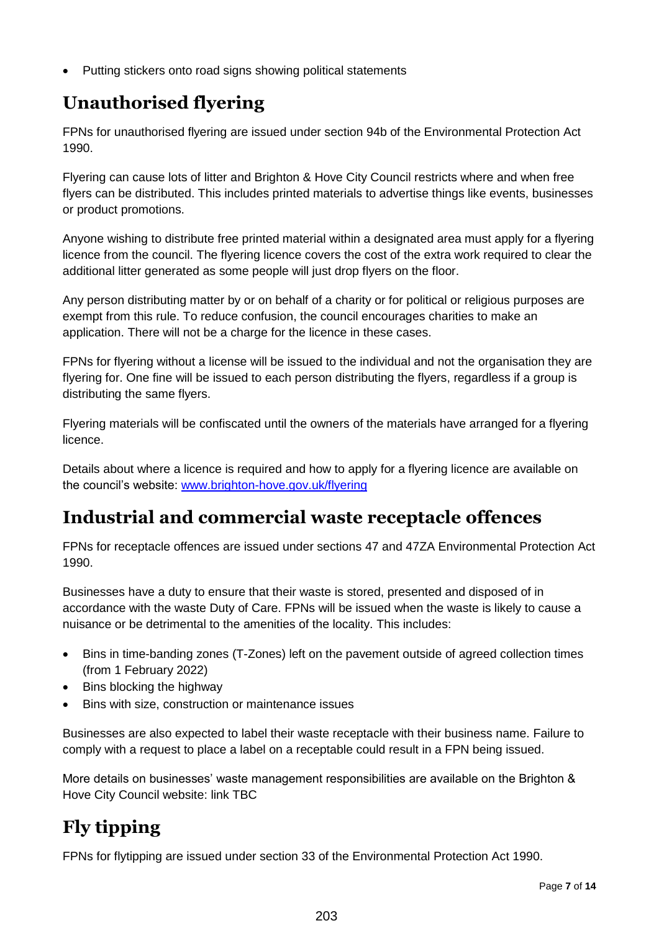• Putting stickers onto road signs showing political statements

### **Unauthorised flyering**

FPNs for unauthorised flyering are issued under section 94b of the Environmental Protection Act 1990.

Flyering can cause lots of litter and Brighton & Hove City Council restricts where and when free flyers can be distributed. This includes printed materials to advertise things like events, businesses or product promotions.

Anyone wishing to distribute free printed material within a designated area must apply for a flyering licence from the council. The flyering licence covers the cost of the extra work required to clear the additional litter generated as some people will just drop flyers on the floor.

Any person distributing matter by or on behalf of a charity or for political or religious purposes are exempt from this rule. To reduce confusion, the council encourages charities to make an application. There will not be a charge for the licence in these cases.

FPNs for flyering without a license will be issued to the individual and not the organisation they are flyering for. One fine will be issued to each person distributing the flyers, regardless if a group is distributing the same flyers.

Flyering materials will be confiscated until the owners of the materials have arranged for a flyering licence.

Details about where a licence is required and how to apply for a flyering licence are available on the council's website: [www.brighton-hove.gov.uk/flyering](http://www.brighton-hove.gov.uk/flyering)

#### **Industrial and commercial waste receptacle offences**

FPNs for receptacle offences are issued under sections 47 and 47ZA Environmental Protection Act 1990.

Businesses have a duty to ensure that their waste is stored, presented and disposed of in accordance with the waste Duty of Care. FPNs will be issued when the waste is likely to cause a nuisance or be detrimental to the amenities of the locality. This includes:

- Bins in time-banding zones (T-Zones) left on the pavement outside of agreed collection times (from 1 February 2022)
- Bins blocking the highway
- Bins with size, construction or maintenance issues

Businesses are also expected to label their waste receptacle with their business name. Failure to comply with a request to place a label on a receptable could result in a FPN being issued.

More details on businesses' waste management responsibilities are available on the Brighton & Hove City Council website: link TBC

### **Fly tipping**

FPNs for flytipping are issued under section 33 of the Environmental Protection Act 1990.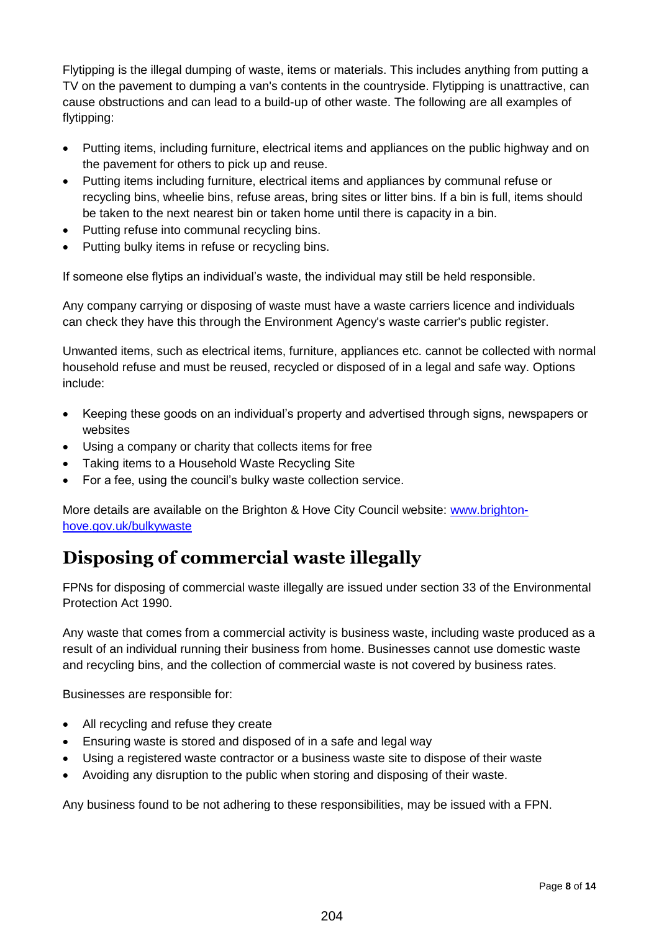Flytipping is the illegal dumping of waste, items or materials. This includes anything from putting a TV on the pavement to dumping a van's contents in the countryside. Flytipping is unattractive, can cause obstructions and can lead to a build-up of other waste. The following are all examples of flytipping:

- Putting items, including furniture, electrical items and appliances on the public highway and on the pavement for others to pick up and reuse.
- Putting items including furniture, electrical items and appliances by communal refuse or recycling bins, wheelie bins, refuse areas, bring sites or litter bins. If a bin is full, items should be taken to the next nearest bin or taken home until there is capacity in a bin.
- Putting refuse into communal recycling bins.
- Putting bulky items in refuse or recycling bins.

If someone else flytips an individual's waste, the individual may still be held responsible.

Any company carrying or disposing of waste must have a waste carriers licence and individuals can check they have this through the Environment Agency's waste carrier's public register.

Unwanted items, such as electrical items, furniture, appliances etc. cannot be collected with normal household refuse and must be reused, recycled or disposed of in a legal and safe way. Options include:

- Keeping these goods on an individual's property and advertised through signs, newspapers or websites
- Using a company or charity that collects items for free
- Taking items to a Household Waste Recycling Site
- For a fee, using the council's bulky waste collection service.

More details are available on the Brighton & Hove City Council website: [www.brighton](http://www.brighton-hove.gov.uk/bulkywaste)[hove.gov.uk/bulkywaste](http://www.brighton-hove.gov.uk/bulkywaste) 

### **Disposing of commercial waste illegally**

FPNs for disposing of commercial waste illegally are issued under section 33 of the Environmental Protection Act 1990.

Any waste that comes from a commercial activity is business waste, including waste produced as a result of an individual running their business from home. Businesses cannot use domestic waste and recycling bins, and the collection of commercial waste is not covered by business rates.

Businesses are responsible for:

- All recycling and refuse they create
- Ensuring waste is stored and disposed of in a safe and legal way
- Using a registered waste contractor or a business waste site to dispose of their waste
- Avoiding any disruption to the public when storing and disposing of their waste.

Any business found to be not adhering to these responsibilities, may be issued with a FPN.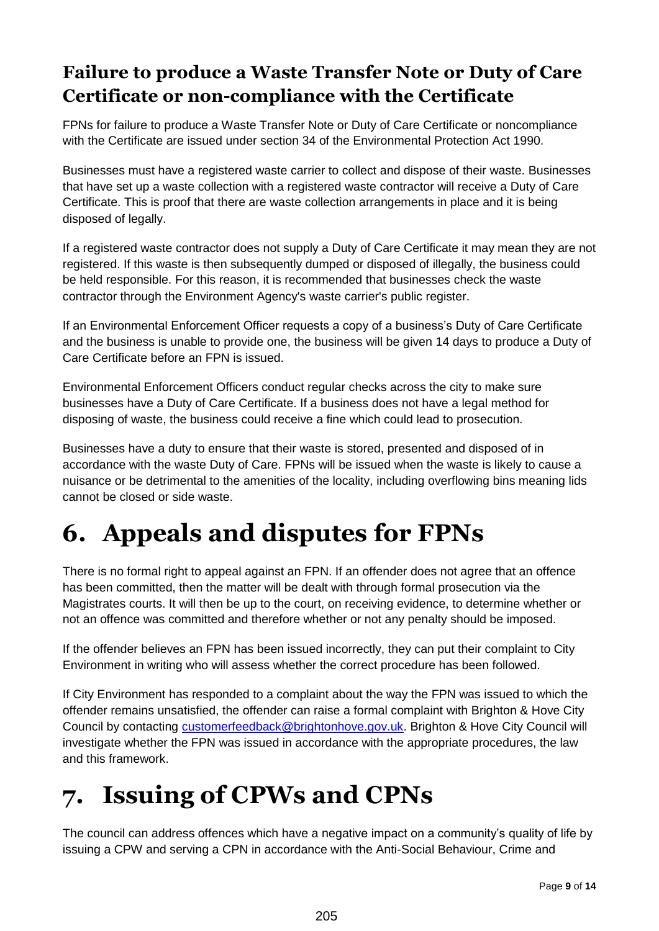### **Failure to produce a Waste Transfer Note or Duty of Care Certificate or non-compliance with the Certificate**

FPNs for failure to produce a Waste Transfer Note or Duty of Care Certificate or noncompliance with the Certificate are issued under section 34 of the Environmental Protection Act 1990.

Businesses must have a registered waste carrier to collect and dispose of their waste. Businesses that have set up a waste collection with a registered waste contractor will receive a Duty of Care Certificate. This is proof that there are waste collection arrangements in place and it is being disposed of legally.

If a registered waste contractor does not supply a Duty of Care Certificate it may mean they are not registered. If this waste is then subsequently dumped or disposed of illegally, the business could be held responsible. For this reason, it is recommended that businesses check the waste contractor through the Environment Agency's waste carrier's public register.

If an Environmental Enforcement Officer requests a copy of a business's Duty of Care Certificate and the business is unable to provide one, the business will be given 14 days to produce a Duty of Care Certificate before an FPN is issued.

Environmental Enforcement Officers conduct regular checks across the city to make sure businesses have a Duty of Care Certificate. If a business does not have a legal method for disposing of waste, the business could receive a fine which could lead to prosecution.

Businesses have a duty to ensure that their waste is stored, presented and disposed of in accordance with the waste Duty of Care. FPNs will be issued when the waste is likely to cause a nuisance or be detrimental to the amenities of the locality, including overflowing bins meaning lids cannot be closed or side waste.

## <span id="page-8-0"></span>**6. Appeals and disputes for FPNs**

There is no formal right to appeal against an FPN. If an offender does not agree that an offence has been committed, then the matter will be dealt with through formal prosecution via the Magistrates courts. It will then be up to the court, on receiving evidence, to determine whether or not an offence was committed and therefore whether or not any penalty should be imposed.

If the offender believes an FPN has been issued incorrectly, they can put their complaint to City Environment in writing who will assess whether the correct procedure has been followed.

If City Environment has responded to a complaint about the way the FPN was issued to which the offender remains unsatisfied, the offender can raise a formal complaint with Brighton & Hove City Council by contacting [customerfeedback@brightonhove.gov.uk.](mailto:customerfeedback@brightonhove.gov.uk) Brighton & Hove City Council will investigate whether the FPN was issued in accordance with the appropriate procedures, the law and this framework.

## <span id="page-8-1"></span>**7. Issuing of CPWs and CPNs**

The council can address offences which have a negative impact on a community's quality of life by issuing a CPW and serving a CPN in accordance with the Anti-Social Behaviour, Crime and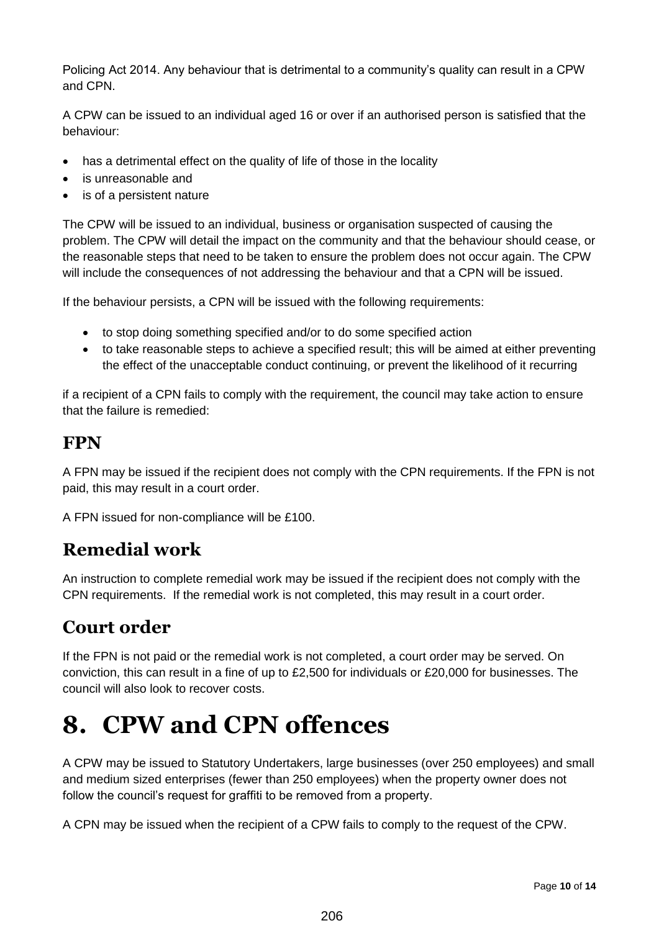Policing Act 2014. Any behaviour that is detrimental to a community's quality can result in a CPW and CPN.

A CPW can be issued to an individual aged 16 or over if an authorised person is satisfied that the behaviour:

- has a detrimental effect on the quality of life of those in the locality
- is unreasonable and
- is of a persistent nature

The CPW will be issued to an individual, business or organisation suspected of causing the problem. The CPW will detail the impact on the community and that the behaviour should cease, or the reasonable steps that need to be taken to ensure the problem does not occur again. The CPW will include the consequences of not addressing the behaviour and that a CPN will be issued.

If the behaviour persists, a CPN will be issued with the following requirements:

- to stop doing something specified and/or to do some specified action
- to take reasonable steps to achieve a specified result; this will be aimed at either preventing the effect of the unacceptable conduct continuing, or prevent the likelihood of it recurring

if a recipient of a CPN fails to comply with the requirement, the council may take action to ensure that the failure is remedied:

#### **FPN**

A FPN may be issued if the recipient does not comply with the CPN requirements. If the FPN is not paid, this may result in a court order.

A FPN issued for non-compliance will be £100.

#### **Remedial work**

An instruction to complete remedial work may be issued if the recipient does not comply with the CPN requirements. If the remedial work is not completed, this may result in a court order.

#### **Court order**

If the FPN is not paid or the remedial work is not completed, a court order may be served. On conviction, this can result in a fine of up to £2,500 for individuals or £20,000 for businesses. The council will also look to recover costs.

### <span id="page-9-0"></span>**8. CPW and CPN offences**

A CPW may be issued to Statutory Undertakers, large businesses (over 250 employees) and small and medium sized enterprises (fewer than 250 employees) when the property owner does not follow the council's request for graffiti to be removed from a property.

A CPN may be issued when the recipient of a CPW fails to comply to the request of the CPW.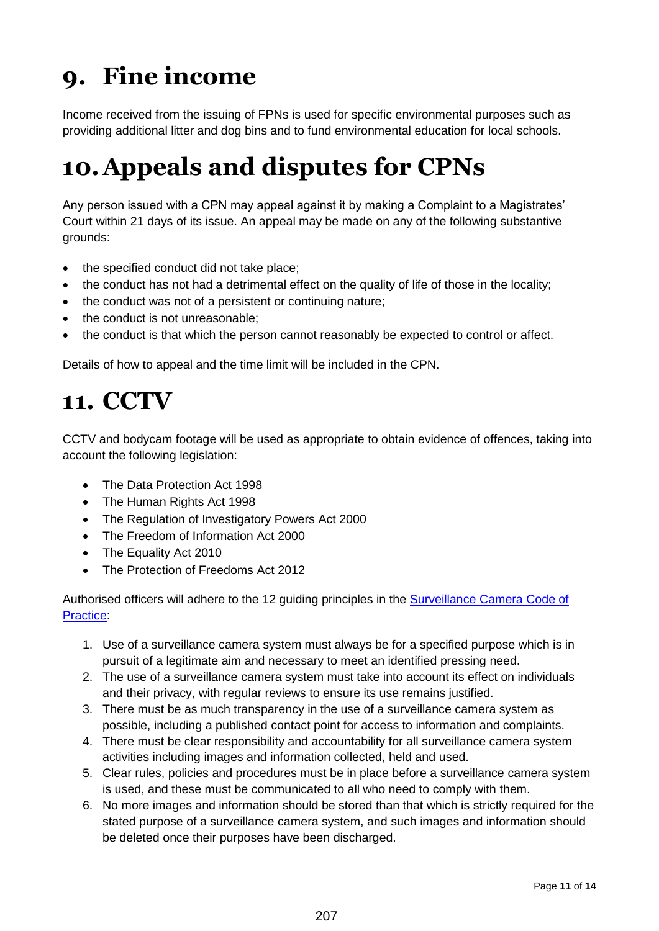# <span id="page-10-0"></span>**9. Fine income**

Income received from the issuing of FPNs is used for specific environmental purposes such as providing additional litter and dog bins and to fund environmental education for local schools.

## <span id="page-10-1"></span>**10.Appeals and disputes for CPNs**

Any person issued with a CPN may appeal against it by making a Complaint to a Magistrates' Court within 21 days of its issue. An appeal may be made on any of the following substantive grounds:

- the specified conduct did not take place;
- the conduct has not had a detrimental effect on the quality of life of those in the locality;
- the conduct was not of a persistent or continuing nature;
- the conduct is not unreasonable;
- the conduct is that which the person cannot reasonably be expected to control or affect.

Details of how to appeal and the time limit will be included in the CPN.

### <span id="page-10-2"></span>**11. CCTV**

CCTV and bodycam footage will be used as appropriate to obtain evidence of offences, taking into account the following legislation:

- The Data Protection Act 1998
- The Human Rights Act 1998
- The Regulation of Investigatory Powers Act 2000
- The Freedom of Information Act 2000
- The Equality Act 2010
- The Protection of Freedoms Act 2012

Authorised officers will adhere to the 12 guiding principles in the [Surveillance Camera Code of](https://www.gov.uk/government/publications/surveillance-camera-code-of-practice)  [Practice:](https://www.gov.uk/government/publications/surveillance-camera-code-of-practice)

- 1. Use of a surveillance camera system must always be for a specified purpose which is in pursuit of a legitimate aim and necessary to meet an identified pressing need.
- 2. The use of a surveillance camera system must take into account its effect on individuals and their privacy, with regular reviews to ensure its use remains justified.
- 3. There must be as much transparency in the use of a surveillance camera system as possible, including a published contact point for access to information and complaints.
- 4. There must be clear responsibility and accountability for all surveillance camera system activities including images and information collected, held and used.
- 5. Clear rules, policies and procedures must be in place before a surveillance camera system is used, and these must be communicated to all who need to comply with them.
- 6. No more images and information should be stored than that which is strictly required for the stated purpose of a surveillance camera system, and such images and information should be deleted once their purposes have been discharged.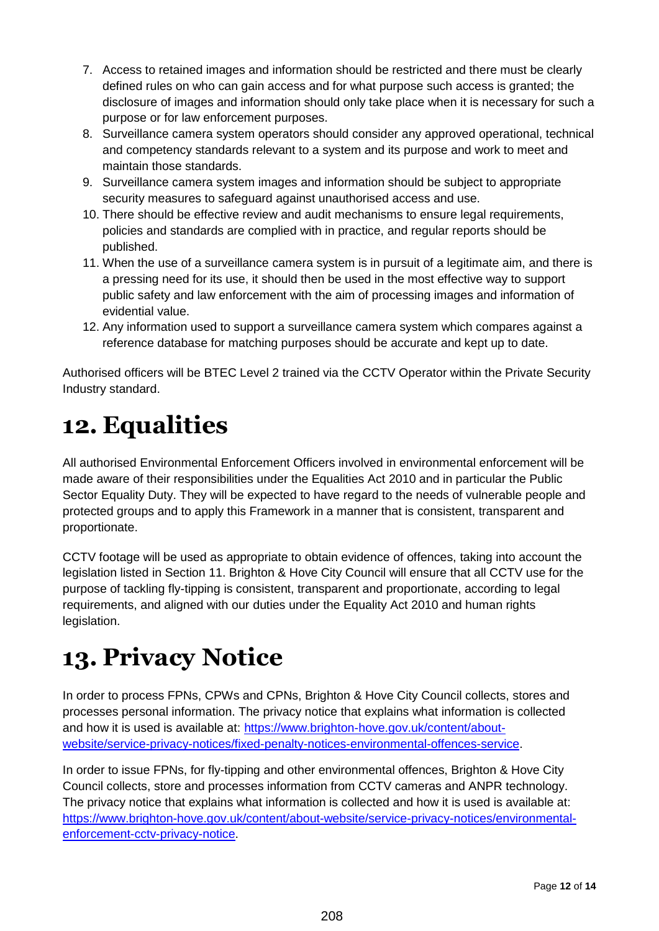- 7. Access to retained images and information should be restricted and there must be clearly defined rules on who can gain access and for what purpose such access is granted; the disclosure of images and information should only take place when it is necessary for such a purpose or for law enforcement purposes.
- 8. Surveillance camera system operators should consider any approved operational, technical and competency standards relevant to a system and its purpose and work to meet and maintain those standards.
- 9. Surveillance camera system images and information should be subject to appropriate security measures to safeguard against unauthorised access and use.
- 10. There should be effective review and audit mechanisms to ensure legal requirements, policies and standards are complied with in practice, and regular reports should be published.
- 11. When the use of a surveillance camera system is in pursuit of a legitimate aim, and there is a pressing need for its use, it should then be used in the most effective way to support public safety and law enforcement with the aim of processing images and information of evidential value.
- 12. Any information used to support a surveillance camera system which compares against a reference database for matching purposes should be accurate and kept up to date.

Authorised officers will be BTEC Level 2 trained via the CCTV Operator within the Private Security Industry standard.

## <span id="page-11-0"></span>**12. Equalities**

All authorised Environmental Enforcement Officers involved in environmental enforcement will be made aware of their responsibilities under the Equalities Act 2010 and in particular the Public Sector Equality Duty. They will be expected to have regard to the needs of vulnerable people and protected groups and to apply this Framework in a manner that is consistent, transparent and proportionate.

CCTV footage will be used as appropriate to obtain evidence of offences, taking into account the legislation listed in Section 11. Brighton & Hove City Council will ensure that all CCTV use for the purpose of tackling fly-tipping is consistent, transparent and proportionate, according to legal requirements, and aligned with our duties under the Equality Act 2010 and human rights legislation.

## <span id="page-11-1"></span>**13. Privacy Notice**

In order to process FPNs, CPWs and CPNs, Brighton & Hove City Council collects, stores and processes personal information. The privacy notice that explains what information is collected and how it is used is available at: [https://www.brighton-hove.gov.uk/content/about](https://www.brighton-hove.gov.uk/content/about-website/service-privacy-notices/fixed-penalty-notices-environmental-offences-service)[website/service-privacy-notices/fixed-penalty-notices-environmental-offences-service.](https://www.brighton-hove.gov.uk/content/about-website/service-privacy-notices/fixed-penalty-notices-environmental-offences-service)

In order to issue FPNs, for fly-tipping and other environmental offences, Brighton & Hove City Council collects, store and processes information from CCTV cameras and ANPR technology. The privacy notice that explains what information is collected and how it is used is available at: [https://www.brighton-hove.gov.uk/content/about-website/service-privacy-notices/environmental](https://www.brighton-hove.gov.uk/content/about-website/service-privacy-notices/environmental-enforcement-cctv-privacy-notice)[enforcement-cctv-privacy-notice.](https://www.brighton-hove.gov.uk/content/about-website/service-privacy-notices/environmental-enforcement-cctv-privacy-notice)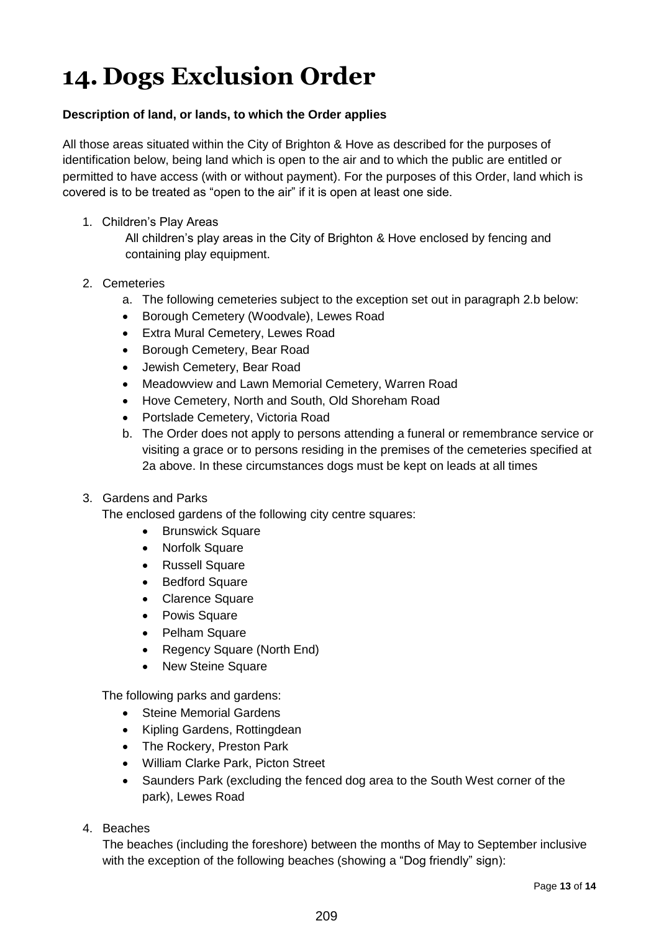## <span id="page-12-0"></span>**14. Dogs Exclusion Order**

#### **Description of land, or lands, to which the Order applies**

All those areas situated within the City of Brighton & Hove as described for the purposes of identification below, being land which is open to the air and to which the public are entitled or permitted to have access (with or without payment). For the purposes of this Order, land which is covered is to be treated as "open to the air" if it is open at least one side.

1. Children's Play Areas

All children's play areas in the City of Brighton & Hove enclosed by fencing and containing play equipment.

- 2. Cemeteries
	- a. The following cemeteries subject to the exception set out in paragraph 2.b below:
	- Borough Cemetery (Woodvale), Lewes Road
	- Extra Mural Cemetery, Lewes Road
	- Borough Cemetery, Bear Road
	- Jewish Cemetery, Bear Road
	- Meadowview and Lawn Memorial Cemetery, Warren Road
	- Hove Cemetery, North and South, Old Shoreham Road
	- Portslade Cemetery, Victoria Road
	- b. The Order does not apply to persons attending a funeral or remembrance service or visiting a grace or to persons residing in the premises of the cemeteries specified at 2a above. In these circumstances dogs must be kept on leads at all times

#### 3. Gardens and Parks

The enclosed gardens of the following city centre squares:

- Brunswick Square
- Norfolk Square
- Russell Square
- Bedford Square
- Clarence Square
- Powis Square
- Pelham Square
- Regency Square (North End)
- New Steine Square

The following parks and gardens:

- Steine Memorial Gardens
- Kipling Gardens, Rottingdean
- The Rockery, Preston Park
- William Clarke Park, Picton Street
- Saunders Park (excluding the fenced dog area to the South West corner of the park), Lewes Road
- 4. Beaches

The beaches (including the foreshore) between the months of May to September inclusive with the exception of the following beaches (showing a "Dog friendly" sign):